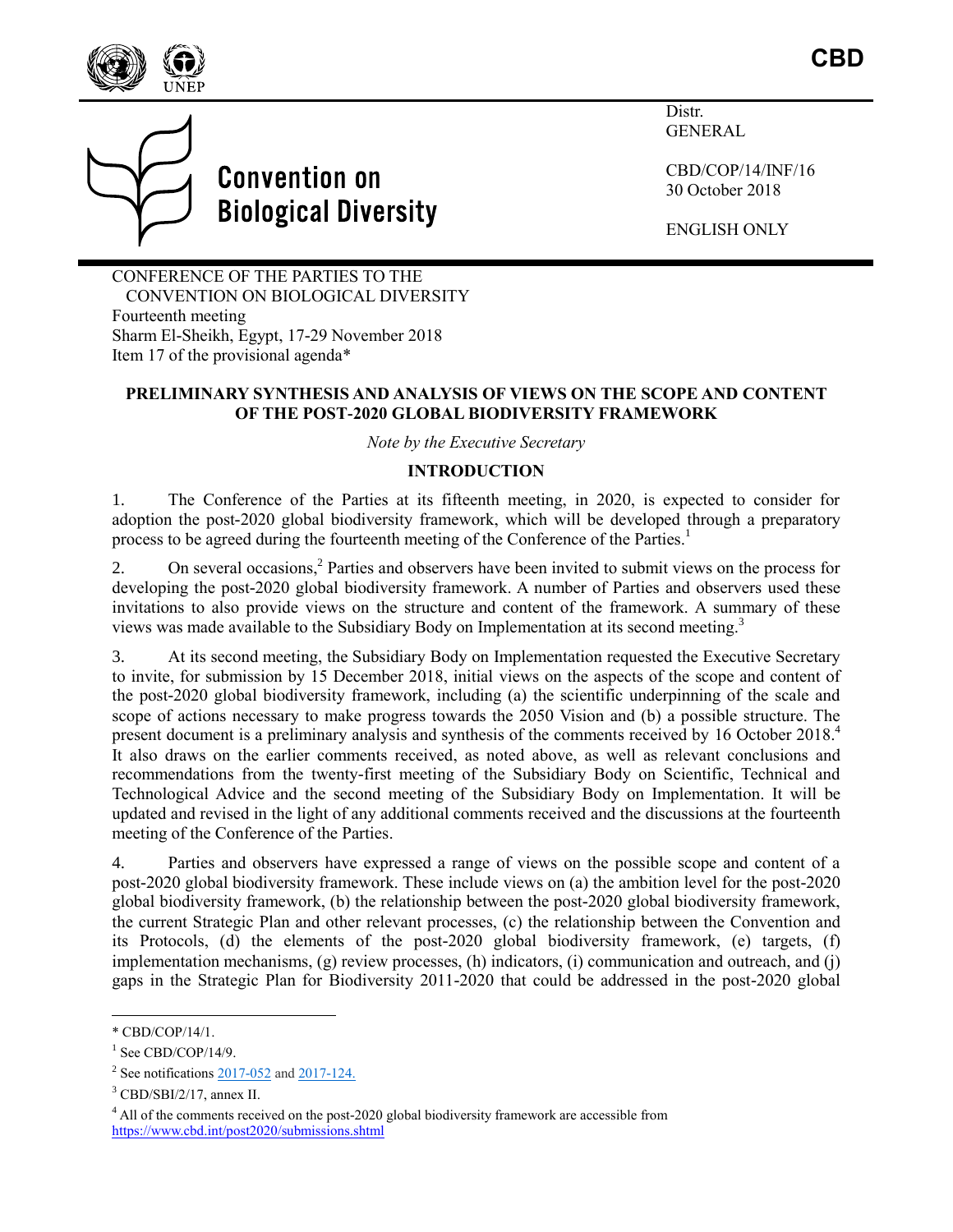



Distr. **GENERAL** 

CBD/COP/14/INF/16 30 October 2018

ENGLISH ONLY

CONFERENCE OF THE PARTIES TO THE CONVENTION ON BIOLOGICAL DIVERSITY Fourteenth meeting Sharm El-Sheikh, Egypt, 17-29 November 2018 Item 17 of the provisional agenda\*

### **PRELIMINARY SYNTHESIS AND ANALYSIS OF VIEWS ON THE SCOPE AND CONTENT OF THE POST-2020 GLOBAL BIODIVERSITY FRAMEWORK**

*Note by the Executive Secretary*

### **INTRODUCTION**

1. The Conference of the Parties at its fifteenth meeting, in 2020, is expected to consider for adoption the post-2020 global biodiversity framework, which will be developed through a preparatory process to be agreed during the fourteenth meeting of the Conference of the Parties.<sup>1</sup>

2. On several occasions, 2 Parties and observers have been invited to submit views on the process for developing the post-2020 global biodiversity framework. A number of Parties and observers used these invitations to also provide views on the structure and content of the framework. A summary of these views was made available to the Subsidiary Body on Implementation at its second meeting. 3

3. At its second meeting, the Subsidiary Body on Implementation requested the Executive Secretary to invite, for submission by 15 December 2018, initial views on the aspects of the scope and content of the post-2020 global biodiversity framework, including (a) the scientific underpinning of the scale and scope of actions necessary to make progress towards the 2050 Vision and (b) a possible structure. The present document is a preliminary analysis and synthesis of the comments received by 16 October 2018.<sup>4</sup> It also draws on the earlier comments received, as noted above, as well as relevant conclusions and recommendations from the twenty-first meeting of the Subsidiary Body on Scientific, Technical and Technological Advice and the second meeting of the Subsidiary Body on Implementation. It will be updated and revised in the light of any additional comments received and the discussions at the fourteenth meeting of the Conference of the Parties.

4. Parties and observers have expressed a range of views on the possible scope and content of a post-2020 global biodiversity framework. These include views on (a) the ambition level for the post-2020 global biodiversity framework, (b) the relationship between the post-2020 global biodiversity framework, the current Strategic Plan and other relevant processes, (c) the relationship between the Convention and its Protocols, (d) the elements of the post-2020 global biodiversity framework, (e) targets, (f) implementation mechanisms, (g) review processes, (h) indicators, (i) communication and outreach, and (j) gaps in the Strategic Plan for Biodiversity 2011-2020 that could be addressed in the post-2020 global

l

<sup>\*</sup> CBD/COP/14/1.

 $1$  See CBD/COP/14/9.

 $2$  See notifications  $2017-052$  and  $2017-124$ .

 $3$  CBD/SBI/2/17, annex II.

<sup>&</sup>lt;sup>4</sup> All of the comments received on the post-2020 global biodiversity framework are accessible from <https://www.cbd.int/post2020/submissions.shtml>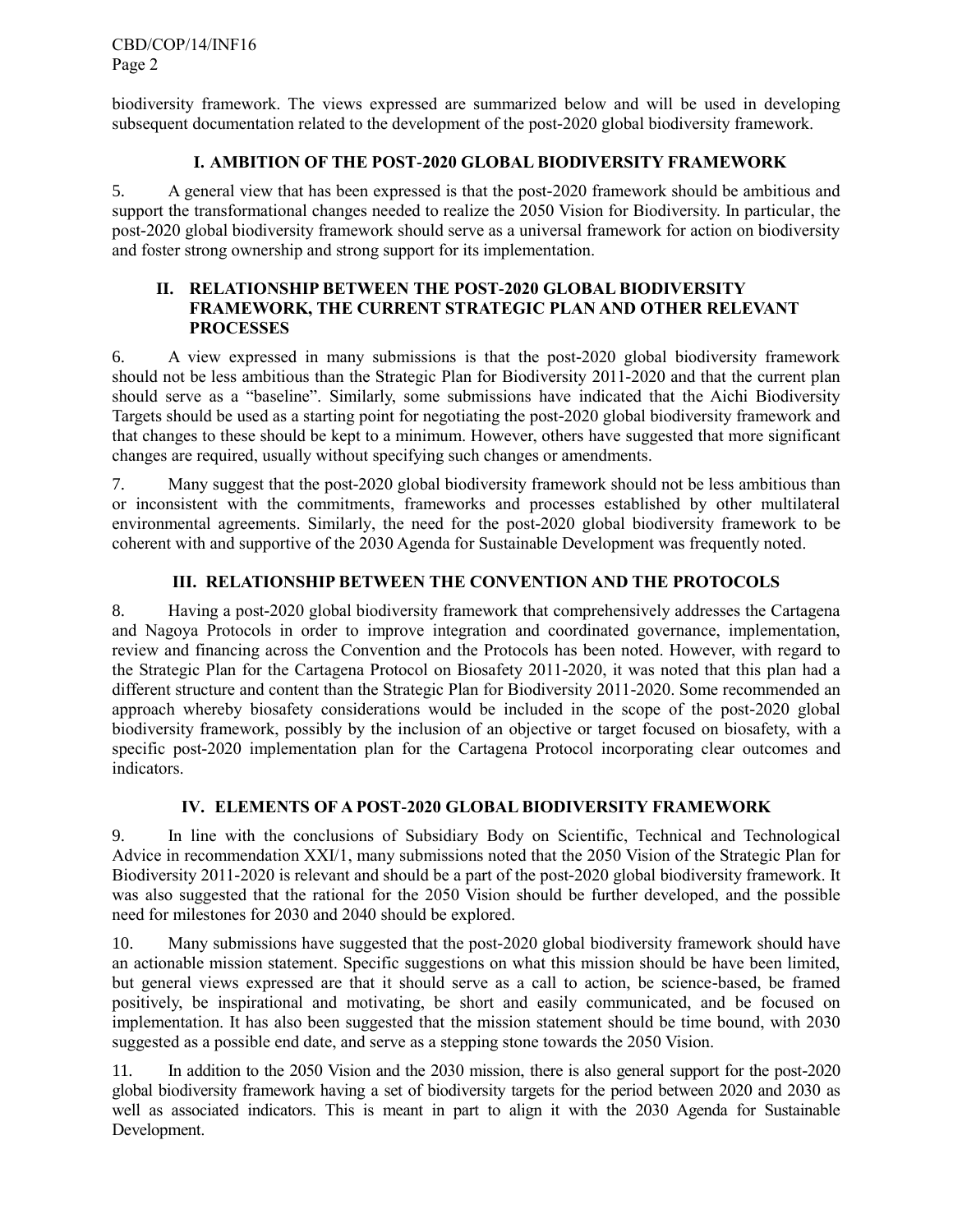biodiversity framework. The views expressed are summarized below and will be used in developing subsequent documentation related to the development of the post-2020 global biodiversity framework.

### **I. AMBITION OF THE POST-2020 GLOBAL BIODIVERSITY FRAMEWORK**

5. A general view that has been expressed is that the post-2020 framework should be ambitious and support the transformational changes needed to realize the 2050 Vision for Biodiversity. In particular, the post-2020 global biodiversity framework should serve as a universal framework for action on biodiversity and foster strong ownership and strong support for its implementation.

#### **II. RELATIONSHIP BETWEEN THE POST-2020 GLOBAL BIODIVERSITY FRAMEWORK, THE CURRENT STRATEGIC PLAN AND OTHER RELEVANT PROCESSES**

6. A view expressed in many submissions is that the post-2020 global biodiversity framework should not be less ambitious than the Strategic Plan for Biodiversity 2011-2020 and that the current plan should serve as a "baseline". Similarly, some submissions have indicated that the Aichi Biodiversity Targets should be used as a starting point for negotiating the post-2020 global biodiversity framework and that changes to these should be kept to a minimum. However, others have suggested that more significant changes are required, usually without specifying such changes or amendments.

7. Many suggest that the post-2020 global biodiversity framework should not be less ambitious than or inconsistent with the commitments, frameworks and processes established by other multilateral environmental agreements. Similarly, the need for the post-2020 global biodiversity framework to be coherent with and supportive of the 2030 Agenda for Sustainable Development was frequently noted.

## **III. RELATIONSHIP BETWEEN THE CONVENTION AND THE PROTOCOLS**

8. Having a post-2020 global biodiversity framework that comprehensively addresses the Cartagena and Nagoya Protocols in order to improve integration and coordinated governance, implementation, review and financing across the Convention and the Protocols has been noted. However, with regard to the Strategic Plan for the Cartagena Protocol on Biosafety 2011-2020, it was noted that this plan had a different structure and content than the Strategic Plan for Biodiversity 2011-2020. Some recommended an approach whereby biosafety considerations would be included in the scope of the post-2020 global biodiversity framework, possibly by the inclusion of an objective or target focused on biosafety, with a specific post-2020 implementation plan for the Cartagena Protocol incorporating clear outcomes and indicators.

## **IV. ELEMENTS OF A POST-2020 GLOBAL BIODIVERSITY FRAMEWORK**

9. In line with the conclusions of Subsidiary Body on Scientific, Technical and Technological Advice in recommendation XXI/1, many submissions noted that the 2050 Vision of the Strategic Plan for Biodiversity 2011-2020 is relevant and should be a part of the post-2020 global biodiversity framework. It was also suggested that the rational for the 2050 Vision should be further developed, and the possible need for milestones for 2030 and 2040 should be explored.

10. Many submissions have suggested that the post-2020 global biodiversity framework should have an actionable mission statement. Specific suggestions on what this mission should be have been limited, but general views expressed are that it should serve as a call to action, be science-based, be framed positively, be inspirational and motivating, be short and easily communicated, and be focused on implementation. It has also been suggested that the mission statement should be time bound, with 2030 suggested as a possible end date, and serve as a stepping stone towards the 2050 Vision.

11. In addition to the 2050 Vision and the 2030 mission, there is also general support for the post-2020 global biodiversity framework having a set of biodiversity targets for the period between 2020 and 2030 as well as associated indicators. This is meant in part to align it with the 2030 Agenda for Sustainable Development.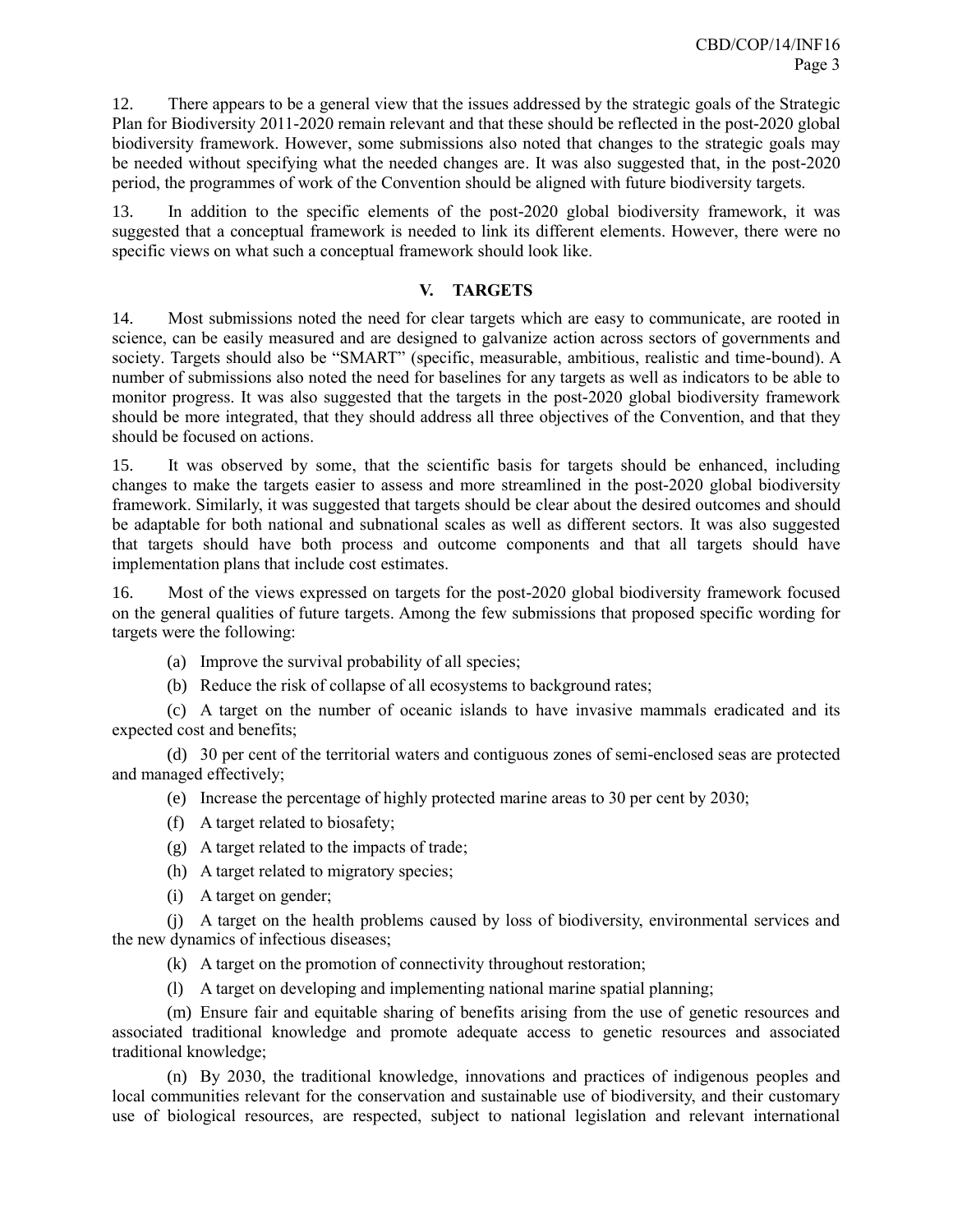12. There appears to be a general view that the issues addressed by the strategic goals of the Strategic Plan for Biodiversity 2011-2020 remain relevant and that these should be reflected in the post-2020 global biodiversity framework. However, some submissions also noted that changes to the strategic goals may be needed without specifying what the needed changes are. It was also suggested that, in the post-2020 period, the programmes of work of the Convention should be aligned with future biodiversity targets.

13. In addition to the specific elements of the post-2020 global biodiversity framework, it was suggested that a conceptual framework is needed to link its different elements. However, there were no specific views on what such a conceptual framework should look like.

### **V. TARGETS**

14. Most submissions noted the need for clear targets which are easy to communicate, are rooted in science, can be easily measured and are designed to galvanize action across sectors of governments and society. Targets should also be "SMART" (specific, measurable, ambitious, realistic and time-bound). A number of submissions also noted the need for baselines for any targets as well as indicators to be able to monitor progress. It was also suggested that the targets in the post-2020 global biodiversity framework should be more integrated, that they should address all three objectives of the Convention, and that they should be focused on actions.

15. It was observed by some, that the scientific basis for targets should be enhanced, including changes to make the targets easier to assess and more streamlined in the post-2020 global biodiversity framework. Similarly, it was suggested that targets should be clear about the desired outcomes and should be adaptable for both national and subnational scales as well as different sectors. It was also suggested that targets should have both process and outcome components and that all targets should have implementation plans that include cost estimates.

16. Most of the views expressed on targets for the post-2020 global biodiversity framework focused on the general qualities of future targets. Among the few submissions that proposed specific wording for targets were the following:

- (a) Improve the survival probability of all species;
- (b) Reduce the risk of collapse of all ecosystems to background rates;

(c) A target on the number of oceanic islands to have invasive mammals eradicated and its expected cost and benefits;

(d) 30 per cent of the territorial waters and contiguous zones of semi-enclosed seas are protected and managed effectively;

(e) Increase the percentage of highly protected marine areas to 30 per cent by 2030;

- (f) A target related to biosafety;
- (g) A target related to the impacts of trade;
- (h) A target related to migratory species;
- (i) A target on gender;

(j) A target on the health problems caused by loss of biodiversity, environmental services and the new dynamics of infectious diseases;

- (k) A target on the promotion of connectivity throughout restoration;
- (l) A target on developing and implementing national marine spatial planning;

(m) Ensure fair and equitable sharing of benefits arising from the use of genetic resources and associated traditional knowledge and promote adequate access to genetic resources and associated traditional knowledge;

(n) By 2030, the traditional knowledge, innovations and practices of indigenous peoples and local communities relevant for the conservation and sustainable use of biodiversity, and their customary use of biological resources, are respected, subject to national legislation and relevant international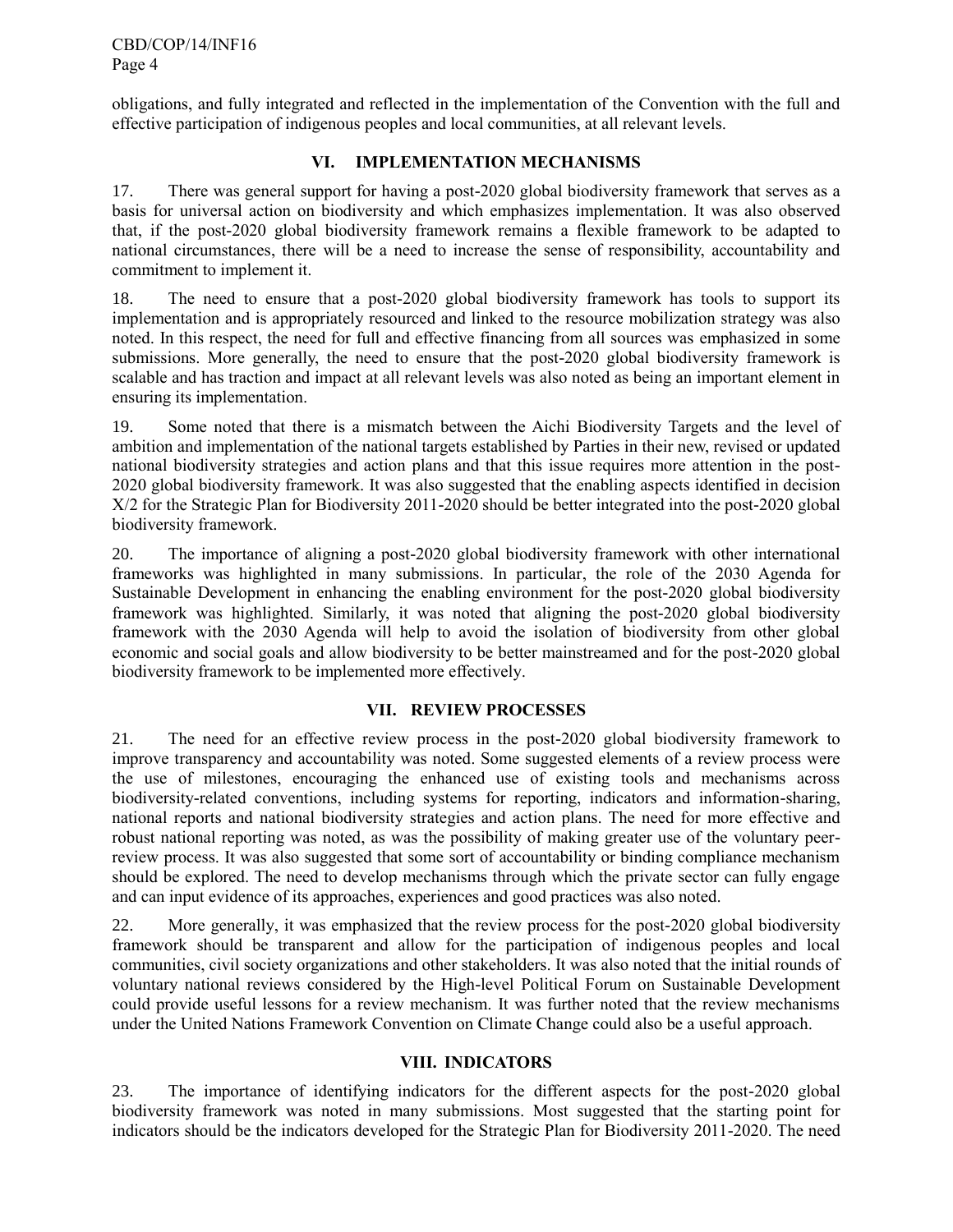obligations, and fully integrated and reflected in the implementation of the Convention with the full and effective participation of indigenous peoples and local communities, at all relevant levels.

## **VI. IMPLEMENTATION MECHANISMS**

17. There was general support for having a post-2020 global biodiversity framework that serves as a basis for universal action on biodiversity and which emphasizes implementation. It was also observed that, if the post-2020 global biodiversity framework remains a flexible framework to be adapted to national circumstances, there will be a need to increase the sense of responsibility, accountability and commitment to implement it.

18. The need to ensure that a post-2020 global biodiversity framework has tools to support its implementation and is appropriately resourced and linked to the resource mobilization strategy was also noted. In this respect, the need for full and effective financing from all sources was emphasized in some submissions. More generally, the need to ensure that the post-2020 global biodiversity framework is scalable and has traction and impact at all relevant levels was also noted as being an important element in ensuring its implementation.

19. Some noted that there is a mismatch between the Aichi Biodiversity Targets and the level of ambition and implementation of the national targets established by Parties in their new, revised or updated national biodiversity strategies and action plans and that this issue requires more attention in the post-2020 global biodiversity framework. It was also suggested that the enabling aspects identified in decision X/2 for the Strategic Plan for Biodiversity 2011-2020 should be better integrated into the post-2020 global biodiversity framework.

20. The importance of aligning a post-2020 global biodiversity framework with other international frameworks was highlighted in many submissions. In particular, the role of the 2030 Agenda for Sustainable Development in enhancing the enabling environment for the post-2020 global biodiversity framework was highlighted. Similarly, it was noted that aligning the post-2020 global biodiversity framework with the 2030 Agenda will help to avoid the isolation of biodiversity from other global economic and social goals and allow biodiversity to be better mainstreamed and for the post-2020 global biodiversity framework to be implemented more effectively.

## **VII. REVIEW PROCESSES**

21. The need for an effective review process in the post-2020 global biodiversity framework to improve transparency and accountability was noted. Some suggested elements of a review process were the use of milestones, encouraging the enhanced use of existing tools and mechanisms across biodiversity-related conventions, including systems for reporting, indicators and information-sharing, national reports and national biodiversity strategies and action plans. The need for more effective and robust national reporting was noted, as was the possibility of making greater use of the voluntary peerreview process. It was also suggested that some sort of accountability or binding compliance mechanism should be explored. The need to develop mechanisms through which the private sector can fully engage and can input evidence of its approaches, experiences and good practices was also noted.

22. More generally, it was emphasized that the review process for the post-2020 global biodiversity framework should be transparent and allow for the participation of indigenous peoples and local communities, civil society organizations and other stakeholders. It was also noted that the initial rounds of voluntary national reviews considered by the High-level Political Forum on Sustainable Development could provide useful lessons for a review mechanism. It was further noted that the review mechanisms under the United Nations Framework Convention on Climate Change could also be a useful approach.

#### **VIII. INDICATORS**

23. The importance of identifying indicators for the different aspects for the post-2020 global biodiversity framework was noted in many submissions. Most suggested that the starting point for indicators should be the indicators developed for the Strategic Plan for Biodiversity 2011-2020. The need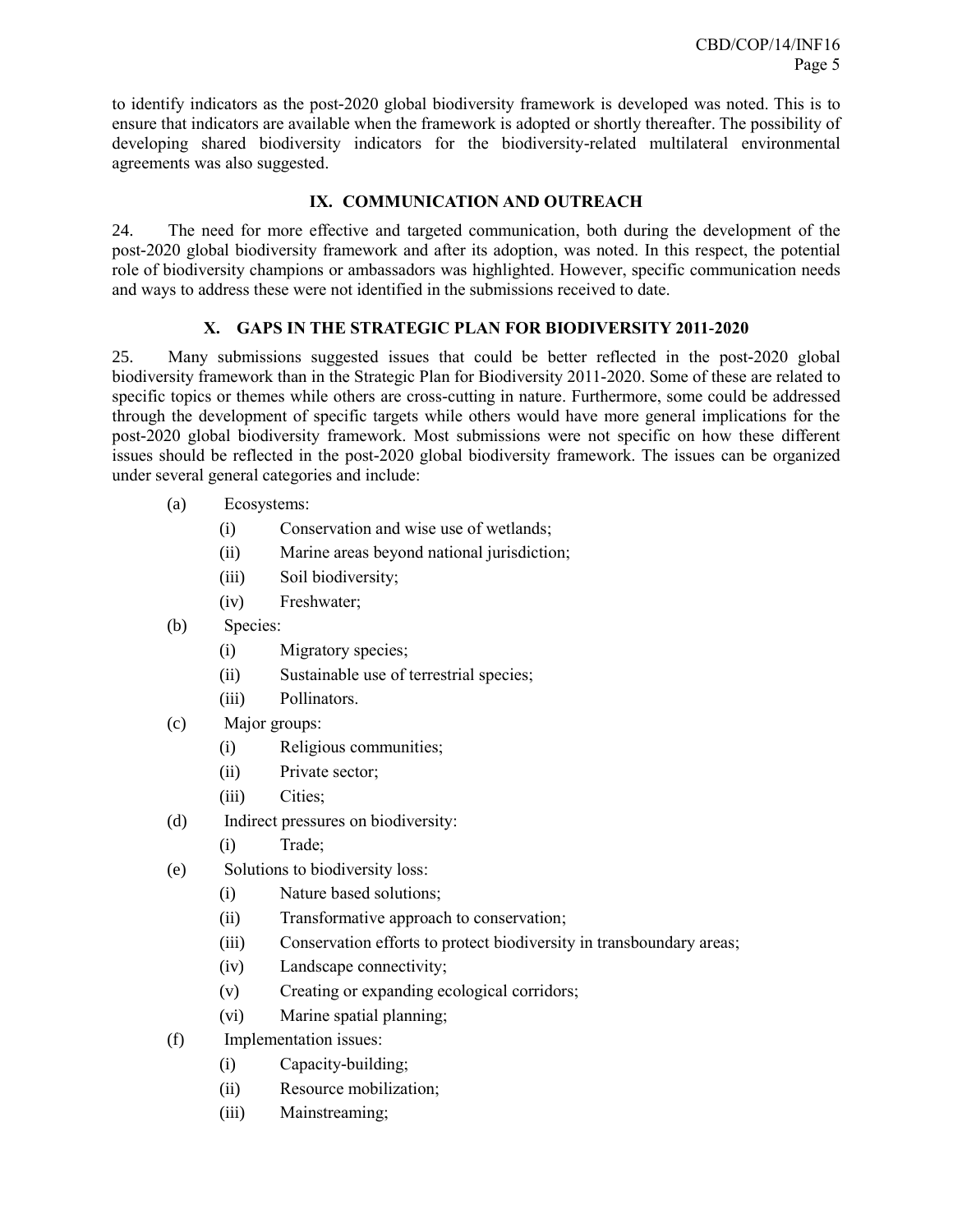to identify indicators as the post-2020 global biodiversity framework is developed was noted. This is to ensure that indicators are available when the framework is adopted or shortly thereafter. The possibility of developing shared biodiversity indicators for the biodiversity-related multilateral environmental agreements was also suggested.

# **IX. COMMUNICATION AND OUTREACH**

24. The need for more effective and targeted communication, both during the development of the post-2020 global biodiversity framework and after its adoption, was noted. In this respect, the potential role of biodiversity champions or ambassadors was highlighted. However, specific communication needs and ways to address these were not identified in the submissions received to date.

## **X. GAPS IN THE STRATEGIC PLAN FOR BIODIVERSITY 2011-2020**

25. Many submissions suggested issues that could be better reflected in the post-2020 global biodiversity framework than in the Strategic Plan for Biodiversity 2011-2020. Some of these are related to specific topics or themes while others are cross-cutting in nature. Furthermore, some could be addressed through the development of specific targets while others would have more general implications for the post-2020 global biodiversity framework. Most submissions were not specific on how these different issues should be reflected in the post-2020 global biodiversity framework. The issues can be organized under several general categories and include:

- (a) Ecosystems:
	- (i) Conservation and wise use of wetlands;
	- (ii) Marine areas beyond national jurisdiction;
	- (iii) Soil biodiversity;
	- (iv) Freshwater;
- (b) Species:
	- (i) Migratory species;
	- (ii) Sustainable use of terrestrial species;
	- (iii) Pollinators.
- (c) Major groups:
	- (i) Religious communities;
	- (ii) Private sector;
	- (iii) Cities;
- (d) Indirect pressures on biodiversity:
	- (i) Trade;
- (e) Solutions to biodiversity loss:
	- (i) Nature based solutions;
	- (ii) Transformative approach to conservation;
	- (iii) Conservation efforts to protect biodiversity in transboundary areas;
	- (iv) Landscape connectivity;
	- (v) Creating or expanding ecological corridors;
	- (vi) Marine spatial planning;
- (f) Implementation issues:
	- (i) Capacity-building;
	- (ii) Resource mobilization;
	- (iii) Mainstreaming;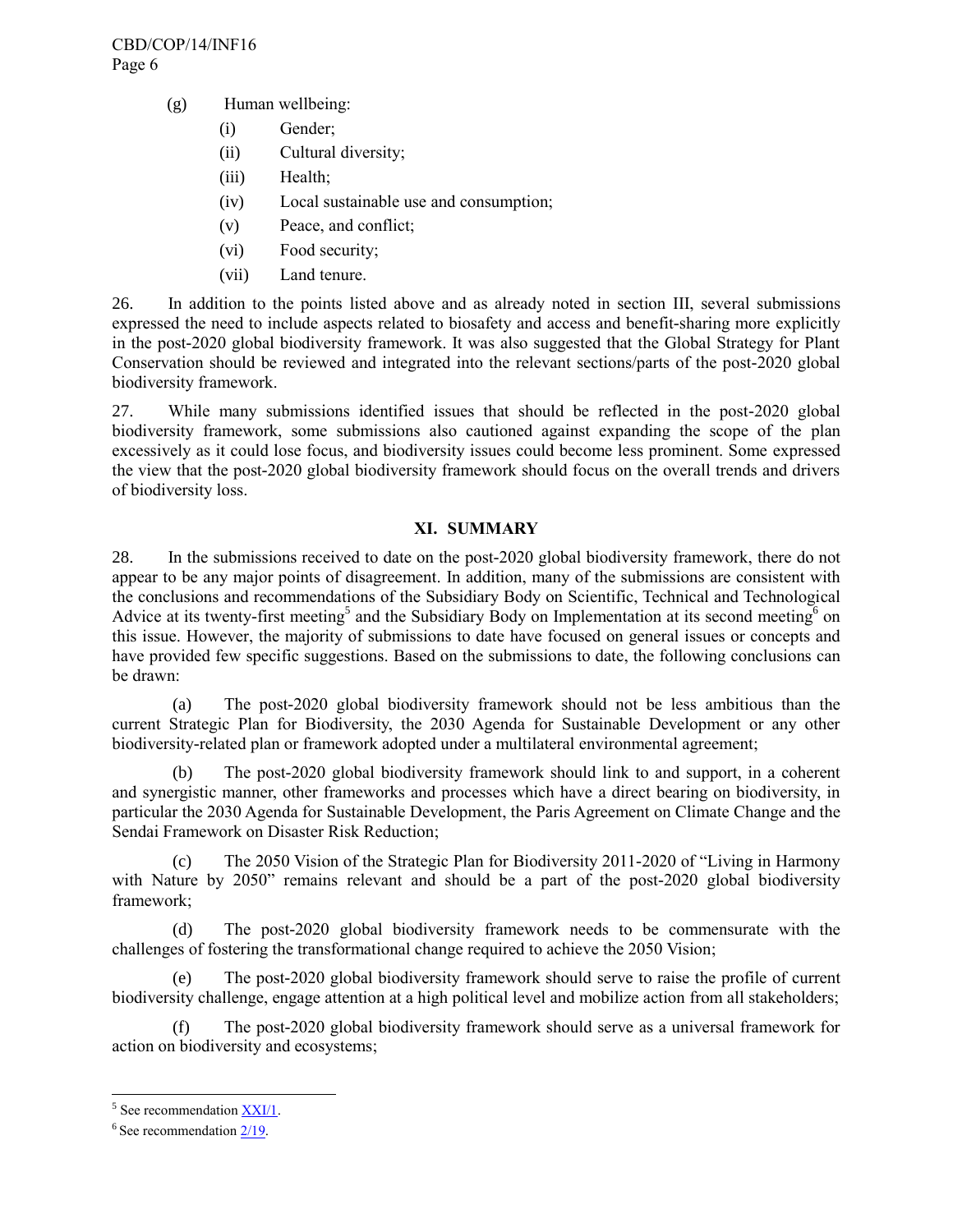- (g) Human wellbeing:
	- (i) Gender;
	- (ii) Cultural diversity;
	- (iii) Health;
	- (iv) Local sustainable use and consumption;
	- (v) Peace, and conflict;
	- (vi) Food security;
	- (vii) Land tenure.

26. In addition to the points listed above and as already noted in section III, several submissions expressed the need to include aspects related to biosafety and access and benefit-sharing more explicitly in the post-2020 global biodiversity framework. It was also suggested that the Global Strategy for Plant Conservation should be reviewed and integrated into the relevant sections/parts of the post-2020 global biodiversity framework.

27. While many submissions identified issues that should be reflected in the post-2020 global biodiversity framework, some submissions also cautioned against expanding the scope of the plan excessively as it could lose focus, and biodiversity issues could become less prominent. Some expressed the view that the post-2020 global biodiversity framework should focus on the overall trends and drivers of biodiversity loss.

### **XI. SUMMARY**

28. In the submissions received to date on the post-2020 global biodiversity framework, there do not appear to be any major points of disagreement. In addition, many of the submissions are consistent with the conclusions and recommendations of the Subsidiary Body on Scientific, Technical and Technological Advice at its twenty-first meeting<sup>5</sup> and the Subsidiary Body on Implementation at its second meeting<sup>6</sup> on this issue. However, the majority of submissions to date have focused on general issues or concepts and have provided few specific suggestions. Based on the submissions to date, the following conclusions can be drawn:

(a) The post-2020 global biodiversity framework should not be less ambitious than the current Strategic Plan for Biodiversity, the 2030 Agenda for Sustainable Development or any other biodiversity-related plan or framework adopted under a multilateral environmental agreement;

(b) The post-2020 global biodiversity framework should link to and support, in a coherent and synergistic manner, other frameworks and processes which have a direct bearing on biodiversity, in particular the 2030 Agenda for Sustainable Development, the Paris Agreement on Climate Change and the Sendai Framework on Disaster Risk Reduction;

(c) The 2050 Vision of the Strategic Plan for Biodiversity 2011-2020 of "Living in Harmony with Nature by 2050" remains relevant and should be a part of the post-2020 global biodiversity framework;

(d) The post-2020 global biodiversity framework needs to be commensurate with the challenges of fostering the transformational change required to achieve the 2050 Vision;

The post-2020 global biodiversity framework should serve to raise the profile of current biodiversity challenge, engage attention at a high political level and mobilize action from all stakeholders;

(f) The post-2020 global biodiversity framework should serve as a universal framework for action on biodiversity and ecosystems;

l  $5$  See recommendation  $\frac{XXI/1}{I}$ .

 $6$  See recommendation  $\frac{2}{19}$ .